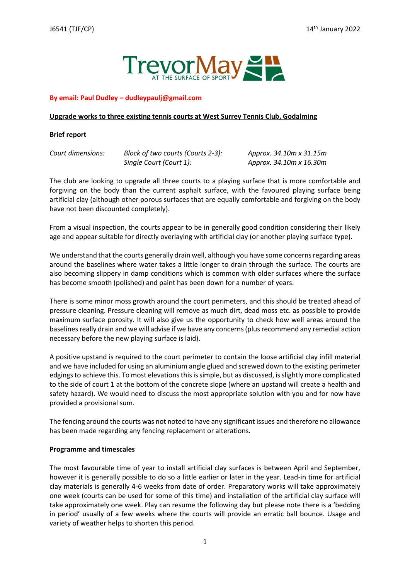

## **By email: Paul Dudley – dudleypaulj@gmail.com**

### **Upgrade works to three existing tennis courts at West Surrey Tennis Club, Godalming**

### **Brief report**

*Court dimensions: Block of two courts (Courts 2-3): Approx. 34.10m x 31.15m Single Court (Court 1): Approx. 34.10m x 16.30m*

The club are looking to upgrade all three courts to a playing surface that is more comfortable and forgiving on the body than the current asphalt surface, with the favoured playing surface being artificial clay (although other porous surfaces that are equally comfortable and forgiving on the body have not been discounted completely).

From a visual inspection, the courts appear to be in generally good condition considering their likely age and appear suitable for directly overlaying with artificial clay (or another playing surface type).

We understand that the courts generally drain well, although you have some concerns regarding areas around the baselines where water takes a little longer to drain through the surface. The courts are also becoming slippery in damp conditions which is common with older surfaces where the surface has become smooth (polished) and paint has been down for a number of years.

There is some minor moss growth around the court perimeters, and this should be treated ahead of pressure cleaning. Pressure cleaning will remove as much dirt, dead moss etc. as possible to provide maximum surface porosity. It will also give us the opportunity to check how well areas around the baselines really drain and we will advise if we have any concerns (plus recommend any remedial action necessary before the new playing surface is laid).

A positive upstand is required to the court perimeter to contain the loose artificial clay infill material and we have included for using an aluminium angle glued and screwed down to the existing perimeter edgings to achieve this. To most elevations this is simple, but as discussed, is slightly more complicated to the side of court 1 at the bottom of the concrete slope (where an upstand will create a health and safety hazard). We would need to discuss the most appropriate solution with you and for now have provided a provisional sum.

The fencing around the courts was not noted to have any significant issues and therefore no allowance has been made regarding any fencing replacement or alterations.

## **Programme and timescales**

The most favourable time of year to install artificial clay surfaces is between April and September, however it is generally possible to do so a little earlier or later in the year. Lead-in time for artificial clay materials is generally 4-6 weeks from date of order. Preparatory works will take approximately one week (courts can be used for some of this time) and installation of the artificial clay surface will take approximately one week. Play can resume the following day but please note there is a 'bedding in period' usually of a few weeks where the courts will provide an erratic ball bounce. Usage and variety of weather helps to shorten this period.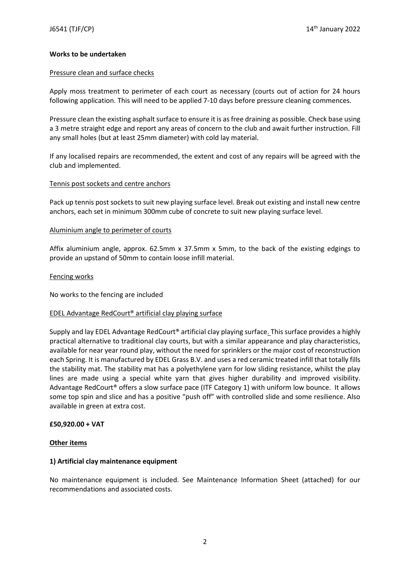### **Works to be undertaken**

### Pressure clean and surface checks

Apply moss treatment to perimeter of each court as necessary (courts out of action for 24 hours following application. This will need to be applied 7-10 days before pressure cleaning commences.

Pressure clean the existing asphalt surface to ensure it is as free draining as possible. Check base using a 3 metre straight edge and report any areas of concern to the club and await further instruction. Fill any small holes (but at least 25mm diameter) with cold lay material.

If any localised repairs are recommended, the extent and cost of any repairs will be agreed with the club and implemented.

### Tennis post sockets and centre anchors

Pack up tennis post sockets to suit new playing surface level. Break out existing and install new centre anchors, each set in minimum 300mm cube of concrete to suit new playing surface level.

### Aluminium angle to perimeter of courts

Affix aluminium angle, approx. 62.5mm x 37.5mm x 5mm, to the back of the existing edgings to provide an upstand of 50mm to contain loose infill material.

### Fencing works

No works to the fencing are included

#### EDEL Advantage RedCourt® artificial clay playing surface

Supply and lay EDEL Advantage RedCourt® artificial clay playing surface. This surface provides a highly practical alternative to traditional clay courts, but with a similar appearance and play characteristics, available for near year round play, without the need for sprinklers or the major cost of reconstruction each Spring. It is manufactured by EDEL Grass B.V. and uses a red ceramic treated infill that totally fills the stability mat. The stability mat has a polyethylene yarn for low sliding resistance, whilst the play lines are made using a special white yarn that gives higher durability and improved visibility. Advantage RedCourt® offers a slow surface pace (ITF Category 1) with uniform low bounce. It allows some top spin and slice and has a positive "push off" with controlled slide and some resilience. Also available in green at extra cost.

#### **£50,920.00 + VAT**

#### **Other items**

#### **1) Artificial clay maintenance equipment**

No maintenance equipment is included. See Maintenance Information Sheet (attached) for our recommendations and associated costs.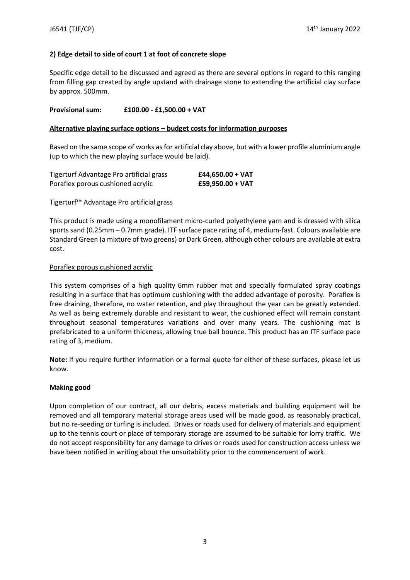# **2) Edge detail to side of court 1 at foot of concrete slope**

Specific edge detail to be discussed and agreed as there are several options in regard to this ranging from filling gap created by angle upstand with drainage stone to extending the artificial clay surface by approx. 500mm.

## **Provisional sum: £100.00 - £1,500.00 + VAT**

## **Alternative playing surface options – budget costs for information purposes**

Based on the same scope of works as for artificial clay above, but with a lower profile aluminium angle (up to which the new playing surface would be laid).

| Tigerturf Advantage Pro artificial grass | $£44,650.00 + VAT$ |
|------------------------------------------|--------------------|
| Poraflex porous cushioned acrylic        | $£59,950.00 + VAT$ |

## Tigerturf™ Advantage Pro artificial grass

This product is made using a monofilament micro-curled polyethylene yarn and is dressed with silica sports sand (0.25mm – 0.7mm grade). ITF surface pace rating of 4, medium-fast. Colours available are Standard Green (a mixture of two greens) or Dark Green, although other colours are available at extra cost.

## Poraflex porous cushioned acrylic

This system comprises of a high quality 6mm rubber mat and specially formulated spray coatings resulting in a surface that has optimum cushioning with the added advantage of porosity. Poraflex is free draining, therefore, no water retention, and play throughout the year can be greatly extended. As well as being extremely durable and resistant to wear, the cushioned effect will remain constant throughout seasonal temperatures variations and over many years. The cushioning mat is prefabricated to a uniform thickness, allowing true ball bounce. This product has an ITF surface pace rating of 3, medium.

**Note:** If you require further information or a formal quote for either of these surfaces, please let us know.

## **Making good**

Upon completion of our contract, all our debris, excess materials and building equipment will be removed and all temporary material storage areas used will be made good, as reasonably practical, but no re-seeding or turfing is included. Drives or roads used for delivery of materials and equipment up to the tennis court or place of temporary storage are assumed to be suitable for lorry traffic. We do not accept responsibility for any damage to drives or roads used for construction access unless we have been notified in writing about the unsuitability prior to the commencement of work.